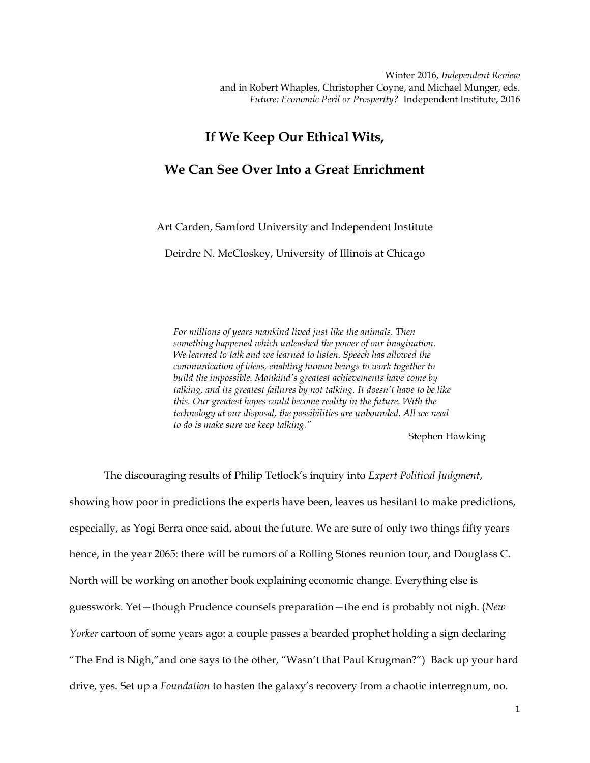Winter 2016, *Independent Review* and in Robert Whaples, Christopher Coyne, and Michael Munger, eds. *Future: Economic Peril or Prosperity?* Independent Institute, 2016

## **If We Keep Our Ethical Wits,**

## **We Can See Over Into a Great Enrichment**

Art Carden, Samford University and Independent Institute

Deirdre N. McCloskey, University of Illinois at Chicago

*For millions of years mankind lived just like the animals. Then something happened which unleashed the power of our imagination. We learned to talk and we learned to listen. Speech has allowed the communication of ideas, enabling human beings to work together to build the impossible. Mankind's greatest achievements have come by talking, and its greatest failures by not talking. It doesn't have to be like this. Our greatest hopes could become reality in the future. With the technology at our disposal, the possibilities are unbounded. All we need to do is make sure we keep talking."*

Stephen Hawking

The discouraging results of Philip Tetlock's inquiry into *Expert Political Judgment*, showing how poor in predictions the experts have been, leaves us hesitant to make predictions, especially, as Yogi Berra once said, about the future. We are sure of only two things fifty years hence, in the year 2065: there will be rumors of a Rolling Stones reunion tour, and Douglass C. North will be working on another book explaining economic change. Everything else is guesswork. Yet—though Prudence counsels preparation—the end is probably not nigh. (*New Yorker* cartoon of some years ago: a couple passes a bearded prophet holding a sign declaring "The End is Nigh,"and one says to the other, "Wasn't that Paul Krugman?") Back up your hard drive, yes. Set up a *Foundation* to hasten the galaxy's recovery from a chaotic interregnum, no.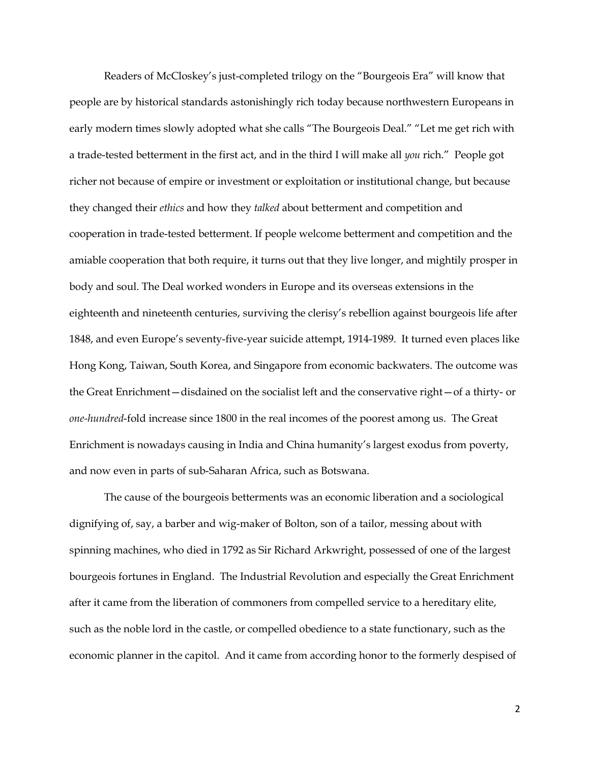Readers of McCloskey's just-completed trilogy on the "Bourgeois Era" will know that people are by historical standards astonishingly rich today because northwestern Europeans in early modern times slowly adopted what she calls "The Bourgeois Deal." "Let me get rich with a trade-tested betterment in the first act, and in the third I will make all *you* rich." People got richer not because of empire or investment or exploitation or institutional change, but because they changed their *ethics* and how they *talked* about betterment and competition and cooperation in trade-tested betterment. If people welcome betterment and competition and the amiable cooperation that both require, it turns out that they live longer, and mightily prosper in body and soul. The Deal worked wonders in Europe and its overseas extensions in the eighteenth and nineteenth centuries, surviving the clerisy's rebellion against bourgeois life after 1848, and even Europe's seventy-five-year suicide attempt, 1914-1989. It turned even places like Hong Kong, Taiwan, South Korea, and Singapore from economic backwaters. The outcome was the Great Enrichment—disdained on the socialist left and the conservative right—of a thirty- or *one-hundred*-fold increase since 1800 in the real incomes of the poorest among us. The Great Enrichment is nowadays causing in India and China humanity's largest exodus from poverty, and now even in parts of sub-Saharan Africa, such as Botswana.

The cause of the bourgeois betterments was an economic liberation and a sociological dignifying of, say, a barber and wig-maker of Bolton, son of a tailor, messing about with spinning machines, who died in 1792 as Sir Richard Arkwright, possessed of one of the largest bourgeois fortunes in England. The Industrial Revolution and especially the Great Enrichment after it came from the liberation of commoners from compelled service to a hereditary elite, such as the noble lord in the castle, or compelled obedience to a state functionary, such as the economic planner in the capitol. And it came from according honor to the formerly despised of

2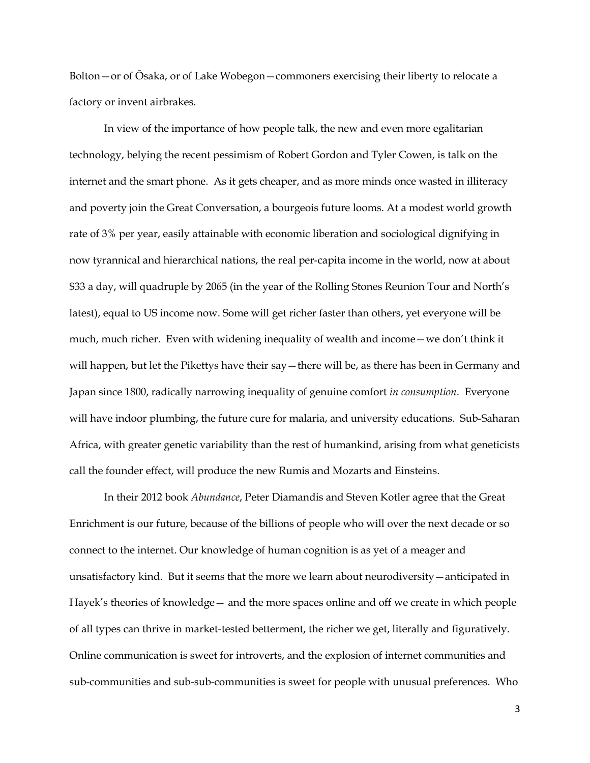Bolton—or of Ōsaka, or of Lake Wobegon—commoners exercising their liberty to relocate a factory or invent airbrakes.

In view of the importance of how people talk, the new and even more egalitarian technology, belying the recent pessimism of Robert Gordon and Tyler Cowen, is talk on the internet and the smart phone. As it gets cheaper, and as more minds once wasted in illiteracy and poverty join the Great Conversation, a bourgeois future looms. At a modest world growth rate of 3% per year, easily attainable with economic liberation and sociological dignifying in now tyrannical and hierarchical nations, the real per-capita income in the world, now at about \$33 a day, will quadruple by 2065 (in the year of the Rolling Stones Reunion Tour and North's latest), equal to US income now. Some will get richer faster than others, yet everyone will be much, much richer. Even with widening inequality of wealth and income—we don't think it will happen, but let the Pikettys have their say—there will be, as there has been in Germany and Japan since 1800, radically narrowing inequality of genuine comfort *in consumption*. Everyone will have indoor plumbing, the future cure for malaria, and university educations. Sub-Saharan Africa, with greater genetic variability than the rest of humankind, arising from what geneticists call the founder effect, will produce the new Rumis and Mozarts and Einsteins.

In their 2012 book *Abundance*, Peter Diamandis and Steven Kotler agree that the Great Enrichment is our future, because of the billions of people who will over the next decade or so connect to the internet. Our knowledge of human cognition is as yet of a meager and unsatisfactory kind. But it seems that the more we learn about neurodiversity—anticipated in Hayek's theories of knowledge— and the more spaces online and off we create in which people of all types can thrive in market-tested betterment, the richer we get, literally and figuratively. Online communication is sweet for introverts, and the explosion of internet communities and sub-communities and sub-sub-communities is sweet for people with unusual preferences. Who

3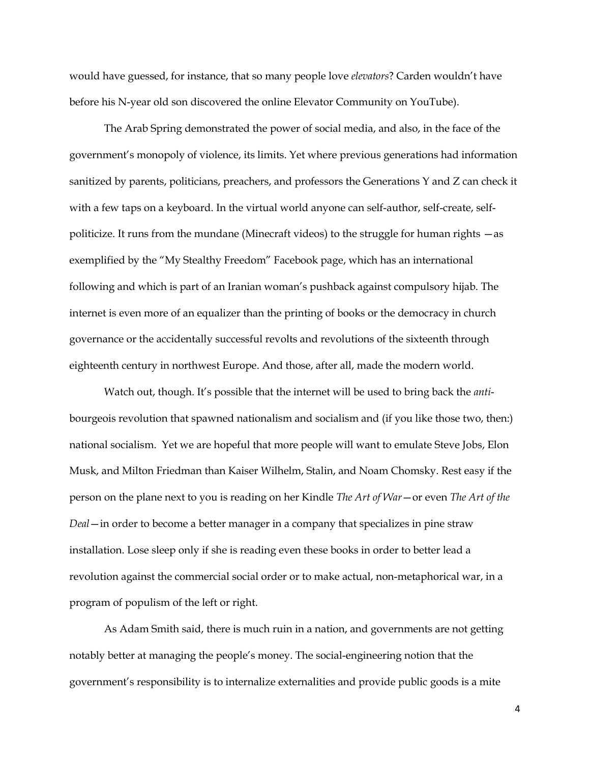would have guessed, for instance, that so many people love *elevators*? Carden wouldn't have before his N-year old son discovered the online Elevator Community on YouTube).

The Arab Spring demonstrated the power of social media, and also, in the face of the government's monopoly of violence, its limits. Yet where previous generations had information sanitized by parents, politicians, preachers, and professors the Generations Y and Z can check it with a few taps on a keyboard. In the virtual world anyone can self-author, self-create, selfpoliticize. It runs from the mundane (Minecraft videos) to the struggle for human rights —as exemplified by the "My Stealthy Freedom" Facebook page, which has an international following and which is part of an Iranian woman's pushback against compulsory hijab. The internet is even more of an equalizer than the printing of books or the democracy in church governance or the accidentally successful revolts and revolutions of the sixteenth through eighteenth century in northwest Europe. And those, after all, made the modern world.

Watch out, though. It's possible that the internet will be used to bring back the *anti*bourgeois revolution that spawned nationalism and socialism and (if you like those two, then:) national socialism. Yet we are hopeful that more people will want to emulate Steve Jobs, Elon Musk, and Milton Friedman than Kaiser Wilhelm, Stalin, and Noam Chomsky. Rest easy if the person on the plane next to you is reading on her Kindle *The Art of War*—or even *The Art of the Deal*—in order to become a better manager in a company that specializes in pine straw installation. Lose sleep only if she is reading even these books in order to better lead a revolution against the commercial social order or to make actual, non-metaphorical war, in a program of populism of the left or right.

As Adam Smith said, there is much ruin in a nation, and governments are not getting notably better at managing the people's money. The social-engineering notion that the government's responsibility is to internalize externalities and provide public goods is a mite

4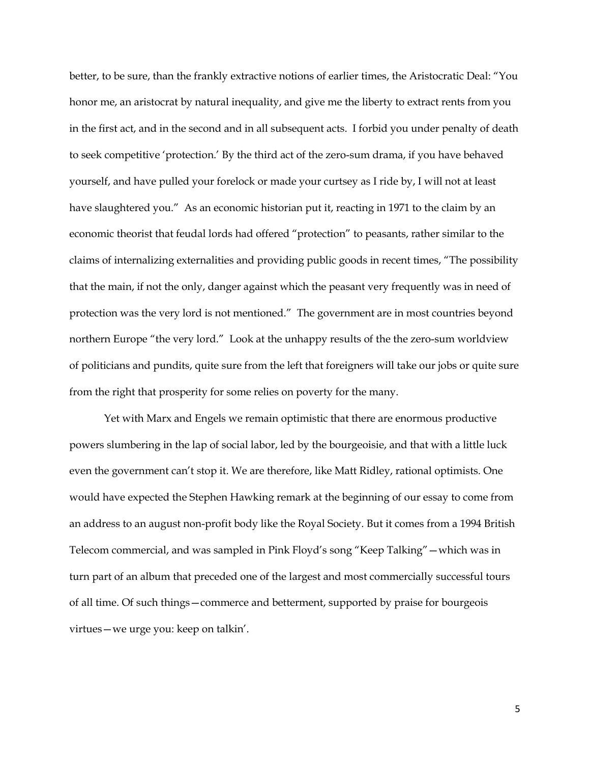better, to be sure, than the frankly extractive notions of earlier times, the Aristocratic Deal: "You honor me, an aristocrat by natural inequality, and give me the liberty to extract rents from you in the first act, and in the second and in all subsequent acts. I forbid you under penalty of death to seek competitive 'protection.' By the third act of the zero-sum drama, if you have behaved yourself, and have pulled your forelock or made your curtsey as I ride by, I will not at least have slaughtered you." As an economic historian put it, reacting in 1971 to the claim by an economic theorist that feudal lords had offered "protection" to peasants, rather similar to the claims of internalizing externalities and providing public goods in recent times, "The possibility that the main, if not the only, danger against which the peasant very frequently was in need of protection was the very lord is not mentioned." The government are in most countries beyond northern Europe "the very lord." Look at the unhappy results of the the zero-sum worldview of politicians and pundits, quite sure from the left that foreigners will take our jobs or quite sure from the right that prosperity for some relies on poverty for the many.

Yet with Marx and Engels we remain optimistic that there are enormous productive powers slumbering in the lap of social labor, led by the bourgeoisie, and that with a little luck even the government can't stop it. We are therefore, like Matt Ridley, rational optimists. One would have expected the Stephen Hawking remark at the beginning of our essay to come from an address to an august non-profit body like the Royal Society. But it comes from a 1994 British Telecom commercial, and was sampled in Pink Floyd's song "Keep Talking"—which was in turn part of an album that preceded one of the largest and most commercially successful tours of all time. Of such things—commerce and betterment, supported by praise for bourgeois virtues—we urge you: keep on talkin'.